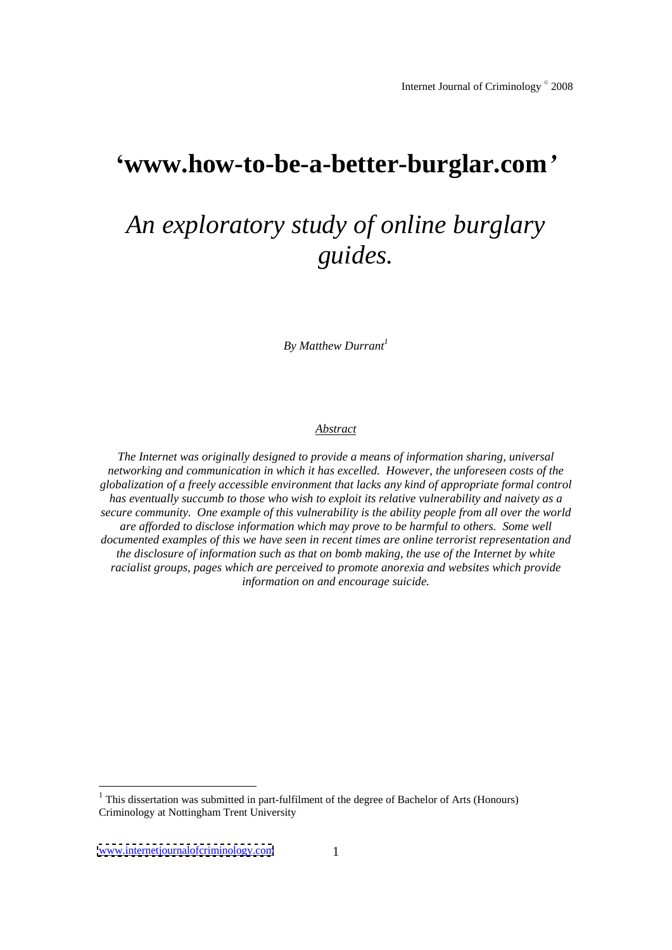# **www.how-to-be-a-better-burglar.com**

# *An exploratory study of online burglary guides.*

 $By$  *Matthew Durrant<sup>1</sup>* 

## *Abstract*

*The Internet was originally designed to provide a means of information sharing, universal networking and communication in which it has excelled. However, the unforeseen costs of the globalization of a freely accessible environment that lacks any kind of appropriate formal control has eventually succumb to those who wish to exploit its relative vulnerability and naivety as a secure community. One example of this vulnerability is the ability people from all over the world are af orded to disclose information which may prove to be harmful to others. Some well documented examples of this we have seen in recent times are online terrorist representation and the disclosure of information such as that on bomb making, the use of the Internet by white racialist groups, pages which are perceived to promote anorexia and websites which provide information on and encourage suicide.*

<sup>&</sup>lt;sup>1</sup> This dissertation was submitted in part-fulfilment of the degree of Bachelor of Arts (Honours) Criminology at Nottingham Trent University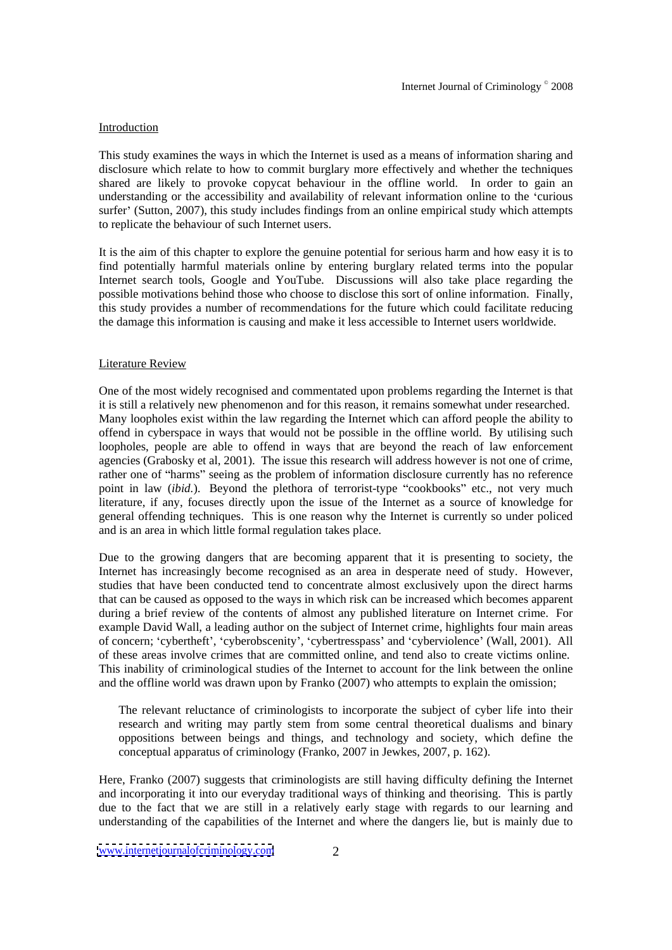# **Introduction**

This study examines the ways in which the Internet is used as a means of information sharing and disclosure which relate to how to commit burglary more effectively and whether the techniques shared are likely to provoke copycat behaviour in the offline world. In order to gain an understanding or the accessibility and availability of relevant information online to the 'curious surfer' (Sutton, 2007), this study includes findings from an online empirical study which attempts to replicate the behaviour of such Internet users.

It is the aim of this chapter to explore the genuine potential for serious harm and how easy it is to find potentially harmful materials online by entering burglary related terms into the popular Internet search tools, Google and YouTube. Discussions will also take place regarding the possible motivations behind those who choose to disclose this sort of online information. Finally, this study provides a number of recommendations for the future which could facilitate reducing the damage this information is causing and make it less accessible to Internet users worldwide.

# Literature Review **Example 2018 Contract Contract Contract Contract Contract Contract Contract Contract Contract Contract Contract Contract Contract Contract Contract Contract Contract Contract Contract Contract Contract**

One of the most widely recognised and commentated upon problems regarding the Internet is that it is still a relatively new phenomenon and for this reason, it remains somewhat under researched. Many loopholes exist within the law regarding the Internet which can afford people the ability to offend in cyberspace in ways that would not be possible in the offline world. By utilising such loopholes, people are able to offend in ways that are beyond the reach of law enforcement agencies (Grabosky et al, 2001). The issue this research will address however is not one of crime, rather one of "harms" seeing as the problem of information disclosure currently has no reference point in law *(ibid.)*. Beyond the plethora of terrorist-type "cookbooks" etc., not very much literature, if any, focuses directly upon the issue of the Internet as a source of knowledge for general offending techniques. This is one reason why the Internet is currently so under policed and is an area in which little formal regulation takes place.

Due to the growing dangers that are becoming apparent that it is presenting to society, the Internet has increasingly become recognised as an area in desperate need of study. However, studies that have been conducted tend to concentrate almost exclusively upon the direct harms that can be caused as opposed to the ways in which risk can be increased which becomes apparent during a brief review of the contents of almost any published literature on Internet crime. For example David Wall, a leading author on the subject of Internet crime, highlights four main areas of concern; 'cybertheft', 'cyberobscenity', 'cybertresspass' and 'cyberviolence' (Wall, 2001). All of these areas involve crimes that are committed online, and tend also to create victims online. This inability of criminological studies of the Internet to account for the link between the online and the offline world was drawn upon by Franko (2007) who attempts to explain the omission;

The relevant reluctance of criminologists to incorporate the subject of cyber life into their research and writing may partly stem from some central theoretical dualisms and binary oppositions between beings and things, and technology and society, which define the conceptual apparatus of criminology (Franko, 2007 in Jewkes, 2007, p. 162).

Here, Franko (2007) suggests that criminologists are still having difficulty defining the Internet and incorporating it into our everyday traditional ways of thinking and theorising. This is partly due to the fact that we are still in a relatively early stage with regards to our learning and understanding of the capabilities of the Internet and where the dangers lie, but is mainly due to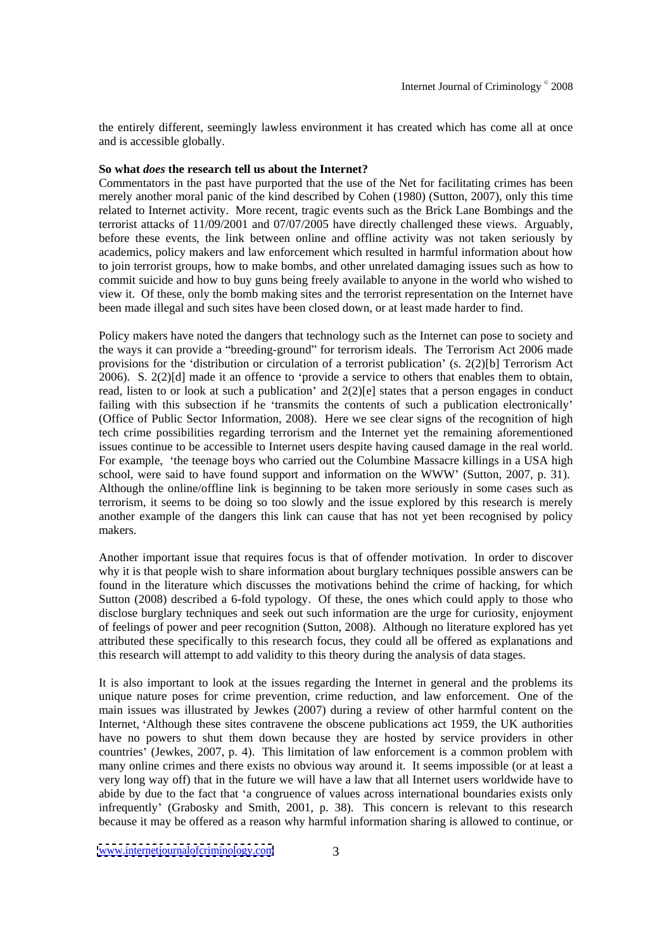the entirely different, seemingly lawless environment it has created which has come all at once and is accessible globally.

# **So what** *does* **the research tell us about the Internet?**

Commentators in the past have purported that the use of the Net for facilitating crimes has been merely another moral panic of the kind described by Cohen (1980) (Sutton, 2007), only this time related to Internet activity. More recent, tragic events such as the Brick Lane Bombings and the terrorist attacks of 11/09/2001 and 07/07/2005 have directly challenged these views. Arguably, before these events, the link between online and offline activity was not taken seriously by academics, policy makers and law enforcement which resulted in harmful information about how to join terrorist groups, how to make bombs, and other unrelated damaging issues such as how to commit suicide and how to buy guns being freely available to anyone in theworld who wished to view it. Of these, only the bomb making sites and the terrorist representation on the Internet have been made illegal and such sites have been closed down, or at least made harder to find.

Policy makers have noted the dangers that technology such as the Internet can pose to society and the ways it can provide a "breeding-ground" for terrorism ideals. The Terrorism Act 2006 made provisions for the 'distribution or circulation of a terrorist publication' (s. 2(2)[b] Terrorism Act  $2006$ . S.  $2(2)[d]$  made it an offence to 'provide a service to others that enables them to obtain, read, listen to or look at such a publication' and  $2(2)[e]$  states that a person engages in conduct failing with this subsection if he 'transmits the contents of such a publication electronically' (Office of Public Sector Information, 2008). Here we see clear signs of the recognition of high tech crime possibilities regarding terrorism and the Internet yet the remaining aforementioned issues continue to be accessible to Internet users despite having caused damage in the real world. For example, 'the teenage boys who carried out the Columbine Massacre killings in a USA high school, were said to have found support and information on the WWW (Sutton, 2007, p. 31). Although the online/offline link is beginning to be taken more seriously in some cases such as terrorism, it seems to be doing so too slowly and the issue explored by this research is merely another example of the dangers this link can cause that has not yet been recognised by policy makers. The contract of the contract of the contract of the contract of the contract of the contract of the contract of the contract of the contract of the contract of the contract of the contract of the contract of the co

Another important issue that requires focus is that of offender motivation. In order to discover why it is that people wish to share information about burglary techniques possible answers can be found in the literature which discusses the motivations behind the crime of hacking, for which Sutton (2008) described a 6-fold typology. Of these, the ones which could apply to those who disclose burglary techniques and seek out such information are the urge for curiosity, enjoyment of feelings of power and peer recognition (Sutton, 2008). Although no literature explored hasyet attributed these specifically to this research focus, they could all be offered as explanations and this research will attempt to add validity to this theory during the analysis of data stages.

It is also important to look at the issues regarding the Internet in general and the problems its unique nature poses for crime prevention, crime reduction, and law enforcement. One of the main issues was illustrated by Jewkes (2007) during a review of other harmful content on the Internet, Although these sites contravene the obscene publications act 1959, the UK authorities have no powers to shut them down because they are hosted by service providers in other countries (Jewkes, 2007, p. 4). This limitation of law enforcement is a common problem with many online crimes and there exists no obvious way around it. It seems impossible (or at least a very long way off) that in the future we will have a law that all Internet users worldwide have to abide by due to the fact that 'a congruence of values across international boundaries exists only infrequently' (Grabosky and Smith, 2001, p. 38). This concern is relevant to this research because it may be offered as a reason why harmful information sharing is allowed to continue, or

[www.internetjournalofcriminology.com](http://www.internetjournalofcriminology.com) 3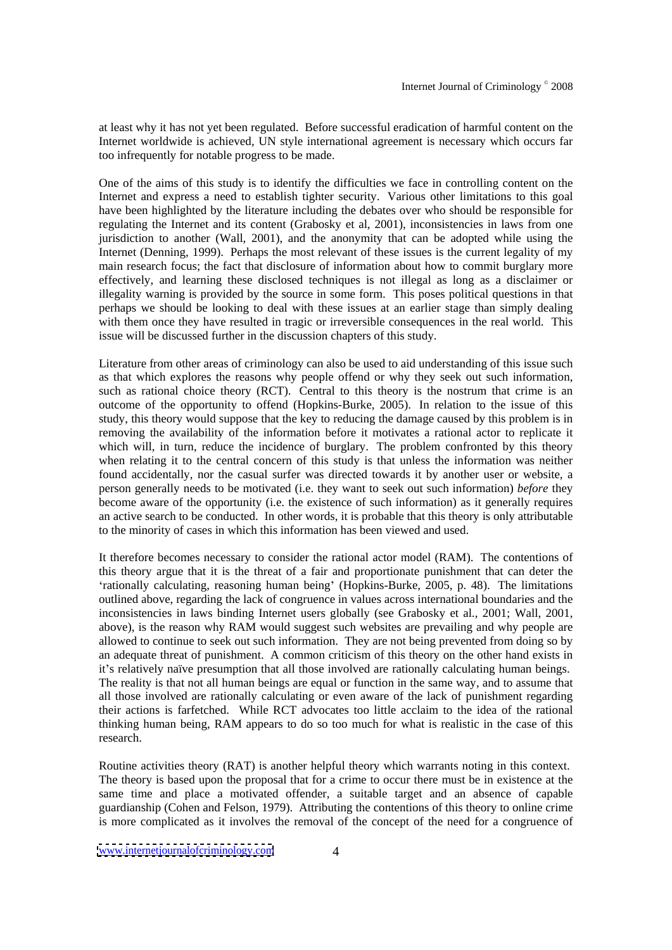at least why it has not yet been regulated. Before successful eradication of harmful content on the Internet worldwide is achieved, UN style international agreement is necessary which occurs far too infrequently for notable progress to be made.

One of the aims of this study is to identify the difficulties we face in controlling content on the Internet and express a need to establish tighter security. Various other limitations to this goal have been highlighted by the literature including the debates over who should be responsible for regulating the Internet and its content (Grabosky et al, 2001), inconsistencies in laws from one jurisdiction to another (Wall, 2001), and the anonymity that can be adopted while using the Internet (Denning, 1999). Perhaps the most relevant of these issues is the current legality of my main research focus; the fact that disclosure of information about how to commit burglary more effectively, and learning these disclosed techniques is not illegal as long as a disclaimer or illegality warning is provided by the source in some form. This poses political questions in that perhaps we should be looking to deal with these issues at an earlier stage than simply dealing with them once they have resulted in tragic or irreversible consequences in the real world. This issue will be discussed further in the discussion chapters of this study.

Literature from other areas of criminology can also be used to aid understanding of this issue such as that which explores the reasons why people offend or why they seek out such information, such as rational choice theory (RCT). Central to this theory is the nostrum that crime is an outcome of the opportunity to offend (Hopkins-Burke, 2005). In relation to the issue of this study, this theory would suppose that the key to reducing the damage caused by this problem isin removing the availability of the information before it motivates a rational actor to replicate it which will, in turn, reduce the incidence of burglary. The problem confronted by this theory when relating it to the central concern of this study is that unless the information was neither found accidentally, nor the casual surfer was directed towards it by another user or website, a person generally needs to be motivated (i.e. they want to seek out such information) *before* they become aware of the opportunity (i.e. the existence of such information) as it generally requires an active search to be conducted. In other words, it is probable that this theory is only attributable to the minority of cases in which this information has been viewed and used.

It therefore becomes necessary to consider the rational actor model (RAM). The contentions of this theory argue that it is the threat of a fair and proportionate punishment that can deter the rationally calculating, reasoning human being (Hopkins-Burke, 2005, p. 48). The limitations outlined above, regarding the lack of congruence in values across international boundaries and the inconsistencies in laws binding Internet users globally (see Grabosky et al., 2001; Wall, 2001, above), is the reason why RAM would suggest such websites are prevailing and why people are allowed to continue to seek out such information. They are not being prevented from doing so by an adequate threat of punishment. A common criticism of this theory on the other hand exists in it's relatively naïve presumption that all those involved are rationally calculating human beings. The reality is that not all human beings are equal or function in the same way, and to assume that all those involved are rationally calculating or even aware of the lack of punishment regarding their actions is farfetched. While RCT advocates too little acclaim to the idea of the rational thinking human being, RAM appears to do so too much for what is realistic in the case of this research.

Routine activities theory (RAT) is another helpful theory which warrants noting in this context. The theory is based upon the proposal that for a crime to occur there must be in existence at the same time and place a motivated offender, a suitable target and an absence of capable guardianship (Cohen and Felson, 1979). Attributing the contentions of this theory to online crime is more complicated as it involves the removal of the concept of the need for a congruence of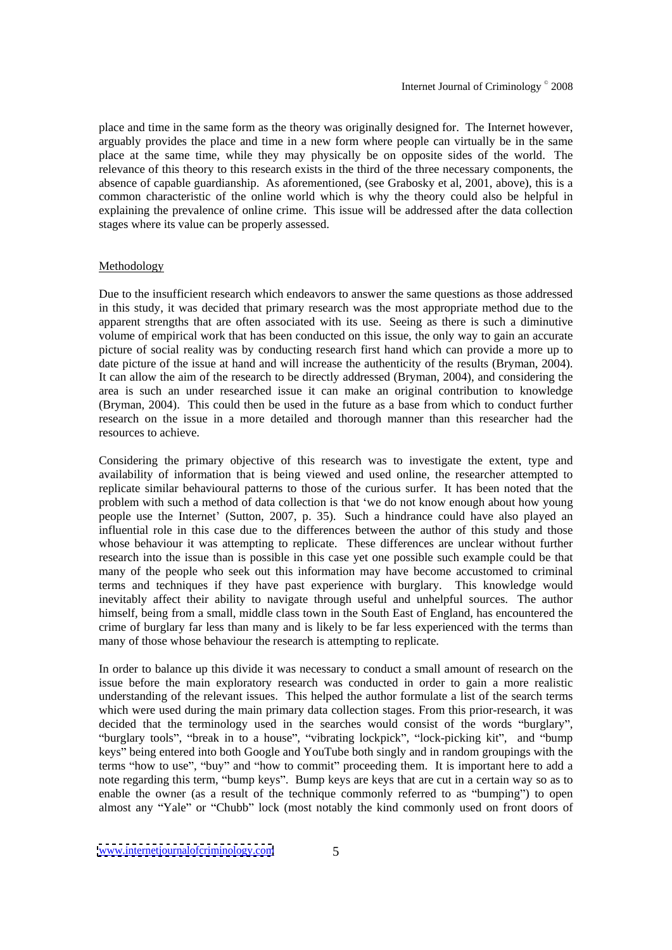place and time in the same form as the theory was originally designed for. The Internet however, arguably provides the place and time in a new form where people can virtually be in the same place at the same time, while they may physically be on opposite sides of the world. The relevance of this theory to this research exists in the third of the three necessary components, the absence of capable guardianship. As aforementioned, (see Grabosky et al, 2001, above), this is a common characteristic of the online world which is why the theory could also be helpful in explaining the prevalence of online crime. This issue will be addressed after the data collection stages where its value can be properly assessed.

# Methodology

Due to the insufficient research which endeavors to answer the same questions as those addressed in this study, it was decided that primary research was the most appropriatemethod due to the apparent strengths that are often associated with itsuse. Seeing as there is such a diminutive volume of empirical work that has been conducted on this issue, the only way to gain an accurate picture of social reality was by conducting research first hand which can provide a more up to date picture of the issue at hand and will increase the authenticity of the results (Bryman, 2004). It can allow the aim of the research to be directly addressed (Bryman, 2004), and considering the area is such an under researched issue it can make an original contribution to knowledge (Bryman, 2004). This could then be used in the future as a base from which to conduct further research on the issue in a more detailed and thorough manner than this researcher had the resources to achieve.

Considering the primary objective of this research was to investigate the extent, type and availability of information that is being viewed and used online, the researcher attempted to replicate similar behavioural patterns to those of the curious surfer. It has been noted that the problem with such a method of data collection is that 'we do not know enough about how young people use the Internet (Sutton, 2007, p. 35). Such a hindrance could have also played an influential role in this case due to the differences between the author of this study and those whose behaviour it was attempting to replicate. These differences are unclear without further research into the issue than is possible in this case yet one possible such example could be that many of the people who seek out this information may have become accustomed to criminal terms and techniques if they have past experience with burglary. This knowledge would inevitably affect their ability to navigate through useful and unhelpful sources. The author himself, being from a small, middle class town in the South East of England, has encountered the crime of burglary far less than many and is likely to be far less experienced with the terms than many of those whose behaviour the research is attempting to replicate.

In order to balance up this divide it was necessary to conduct a small amount of research on the issue before the main exploratory research was conducted in order to gain a more realistic understanding of the relevant issues. This helped the author formulate a list of the search terms which were used during the main primary data collection stages. From this prior-research, it was decided that the terminology used in the searches would consist of the words "burglary", "burglary tools", "break in to a house", "vibrating lockpick", "lock-picking kit", and "bump keys" being entered into both Google and YouTube both singly and in random groupings with the terms "how to use", "buy" and "how to commit" proceeding them. It is important here to add a note regarding this term, "bump keys". Bump keys are keys that are cut in a certain way so as to enable the owner (as a result of the technique commonly referred to as "bumping") to open almost any "Yale" or "Chubb" lock (most notably the kind commonly used on front doors of

[www.internetjournalofcriminology.com](http://www.internetjournalofcriminology.com) 5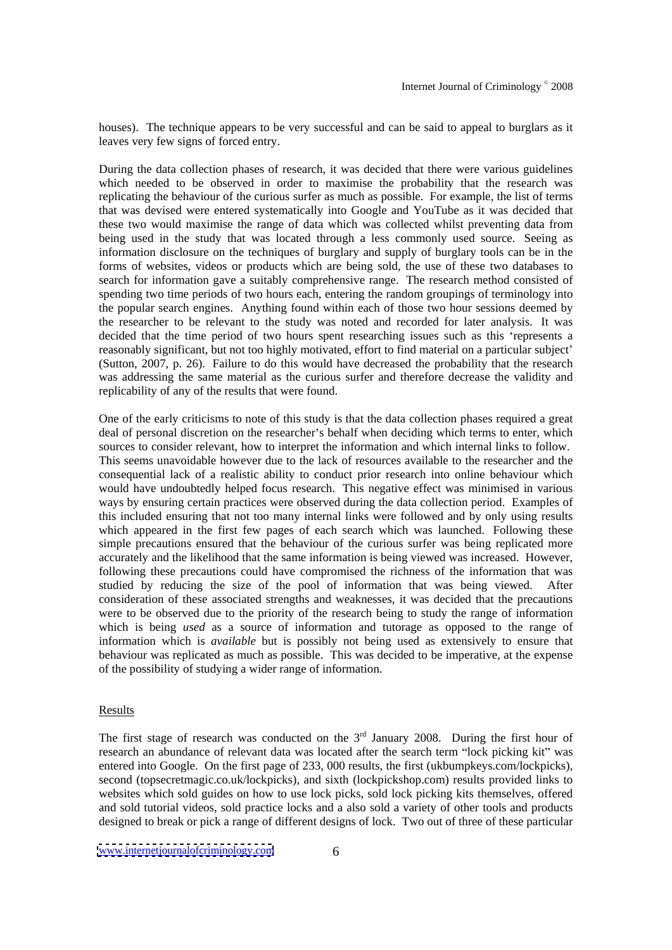houses). The technique appears to be very successful and can be said to appeal to burglars as it leaves very few signs of forced entry.

During the data collection phases of research, it was decided that there were various guidelines which needed to be observed in order to maximise the probability that the research was replicating the behaviour of the curious surfer as much as possible. For example, the list of terms that was devised were entered systematically into Google and YouTube as it was decided that these two would maximise the range of data which was collected whilst preventing data from being used in the study that was located through a less commonly used source. Seeing as information disclosure on the techniques of burglary and supply of burglary tools can be in the forms of websites, videos or products which are being sold, the use of these two databases to search for information gave a suitably comprehensive range. The research method consisted of spending two time periods of two hours each, entering the random groupings of terminology into the popular search engines. Anything found within each of those two hour sessions deemed by the researcher to be relevant to the study was noted and recorded for later analysis. It was decided that the time period of two hours spent researching issues such as this 'represents a reasonably significant, but not too highly motivated, effort to find material on a particular subject (Sutton, 2007, p. 26). Failure to do this would have decreased the probability that the research was addressing the same material as the curious surfer and therefore decrease the validity and replicability of any of the results that were found.

One of the early criticisms to note of this study is that the data collection phases required a great deal of personal discretion on the researcher's behalf when deciding which terms to enter, which sources to consider relevant, how to interpret the information and which internal links to follow. This seems unavoidable however due to the lack of resources available to the researcher and the consequential lack of a realistic ability to conduct prior research into online behaviour which would have undoubtedly helped focus research. This negative effect was minimised in various ways by ensuring certain practices were observed during the data collection period. Examples of this included ensuring that not too many internal links were followed and by only using results which appeared in the first few pages of each search which was launched. Following these simple precautions ensured that the behaviour of the curious surfer was being replicated more accurately and the likelihood that the same information is being viewed was increased. However, following these precautions could have compromised the richness of the information that was studied by reducing the size of the pool of information that was being viewed. After consideration of these associated strengths and weaknesses, it was decided that the precautions were to be observed due to the priority of the research being to study the range of information which is being *used* as a source of information and tutorage as opposed to the range of information which is *available* but is possibly not being used as extensively to ensure that behaviour was replicated as much as possible. This was decided to be imperative, at the expense of the possibility of studying a wider range of information.

## **Results**

The first stage of research was conducted on the  $3<sup>rd</sup>$  January 2008. During the first hour of research an abundance of relevant data was located after the search term "lock picking kit" was entered into Google. On the first page of 233, 000 results, the first (ukbumpkeys.com/lockpicks), second (topsecretmagic.co.uk/lockpicks), and sixth (lockpickshop.com) results provided links to websites which sold guides on how to use lock picks, sold lock picking kits themselves, offered and sold tutorial videos, sold practice locks and a also sold a variety of other tools and products designed to break or pick a range of different designs of lock. Two out of three of these particular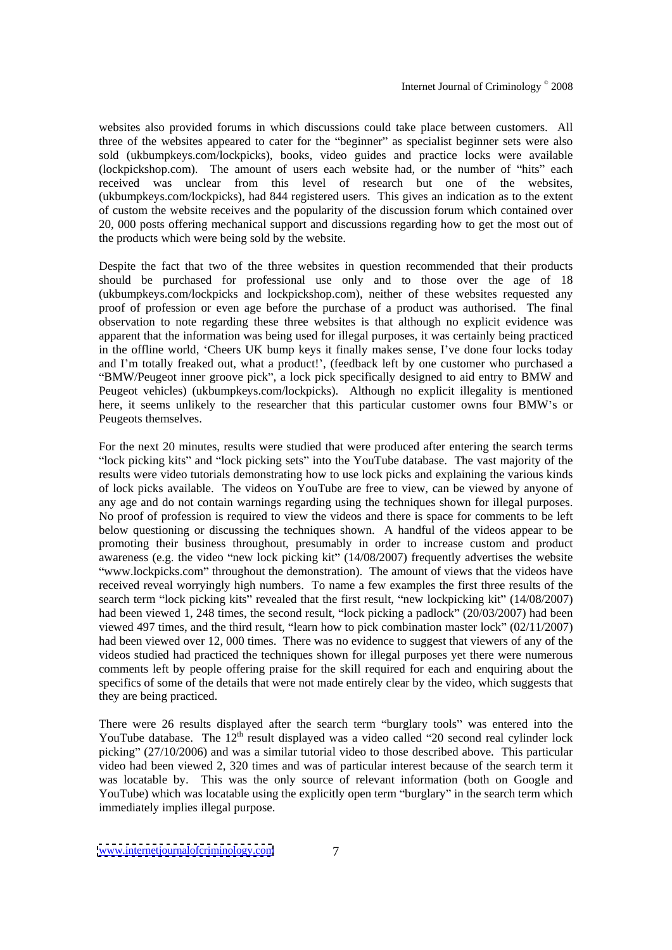websites also provided forums in which discussions could take place between customers. All three of the websites appeared to cater for the "beginner" as specialist beginner sets were also sold (ukbumpkeys.com/lockpicks), books, video guides and practice locks were available  $(lockpickshop.com)$ . The amount of users each website had, or the number of "hits" each received was unclear from this level of research but one of the websites, (ukbumpkeys.com/lockpicks), had 844 registered users. This gives an indication as to the extent of custom the website receives and the popularity of the discussion forum which contained over 20, 000 posts offering mechanical support and discussions regarding how to get the most out of the products which were being sold by the website.

Despite the fact that two of the three websites in question recommended that their products should be purchased for professional use only and to those over the age of 18 (ukbumpkeys.com/lockpicks and lockpickshop.com), neither of these websites requested any proof of profession or even age before the purchase of a product was authorised. The final observation to note regarding these three websites is that although no explicit evidence was apparent that the information was being used for illegal purposes, it was certainly being practiced in the offline world, 'Cheers UK bump keys it finally makes sense, I've done four locks today and I'm totally freaked out, what a product!', (feedback left by one customer who purchased a "BMW/Peugeot inner groove pick", a lock pick specifically designed to aid entry to BMW and Peugeot vehicles) (ukbumpkeys.com/lockpicks). Although no explicit illegality is mentioned here, it seems unlikely to the researcher that this particular customer owns four BMW's or Peugeots themselves.

For the next 20 minutes, results were studied that were produced after entering the search terms "lock picking kits" and "lock picking sets" into the YouTube database. The vast majority of the results were video tutorials demonstrating how to use lock picks and explaining the various kinds of lock picks available. The videos on YouTube are free to view, can be viewed by anyone of any age and do not contain warnings regarding using the techniques shown for illegal purposes. No proof of profession is required to view the videos and there is space for comments to be left below questioning or discussing the techniques shown. A handful of the videos appear to be promoting their business throughout, presumably in order to increase custom and product awareness (e.g. the video "new lock picking kit"  $(14/08/2007)$  frequently advertises the website "www.lockpicks.com" throughout the demonstration). The amount of views that the videos have received reveal worryingly high numbers. To name a few examples thefirst three results of the search term "lock picking kits" revealed that the first result, "new lockpicking kit" (14/08/2007) had been viewed 1, 248 times, the second result, "lock picking a padlock"  $(20/03/2007)$  had been viewed 497 times, and the third result, "learn how to pick combination master lock"  $(02/11/2007)$ had been viewed over 12, 000 times. There was no evidence to suggest that viewers of any of the videos studied had practiced the techniques shown for illegal purposes yet there were numerous comments left by people offering praise for the skill required for each and enquiring about the specifics of some of the details that were not made entirely clear by the video, which suggests that they are being practiced.

There were 26 results displayed after the search term "burglary tools" was entered into the YouTube database. The  $12<sup>th</sup>$  result displayed was a video called "20 second real cylinder lock picking"  $(27/10/2006)$  and was a similar tutorial video to those described above. This particular video had been viewed 2, 320 times and was of particular interest because of the search term it was locatable by. This was the only source of relevant information (both on Google and YouTube) which was locatable using the explicitly open term "burglary" in the search term which immediately implies illegal purpose.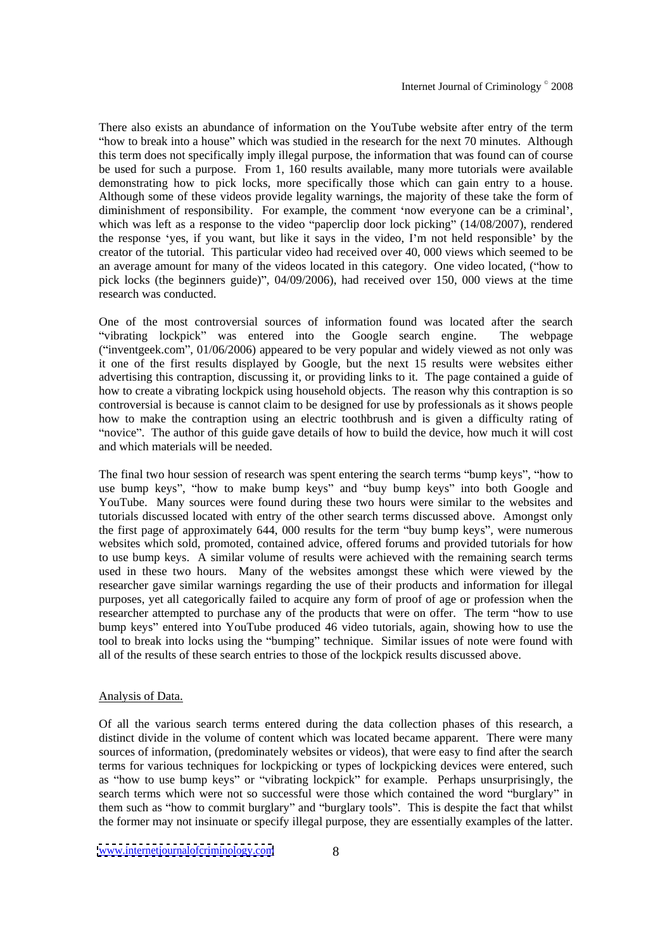There also exists an abundance of information on the YouTube website after entry of the term "how to break into a house" which was studied in the research for the next 70 minutes. Although this term does not specifically imply illegal purpose, the information that was found can of course be used for such a purpose. From 1, 160 results available, many more tutorials were available demonstrating how to pick locks, more specifically those which can gain entry to a house. Although some of these videos provide legality warnings, the majority of these take the form of diminishment of responsibility. For example, the comment 'now everyone can be a criminal', which was left as a response to the video "paperclip door lock picking"  $(14/08/2007)$ , rendered the response 'yes, if you want, but like it says in the video, I'm not held responsible' by the creator of the tutorial. This particular video had received over 40, 000 views which seemed to be an average amount for many of the videos located in this category. One video located, ("how to pick locks (the beginners guide)", 04/09/2006), had received over 150, 000 views at the time research was conducted. research was conducted.

One of the most controversial sources of information found was located after the search "vibrating lockpick" was entered into the Google search engine. The webpage ("inventgeek.com",  $01/06/2006$ ) appeared to be very popular and widely viewed as not only was it one of the first results displayed by Google, but the next 15 results were websites either advertising this contraption, discussing it, or providing links to it. The page contained a guide of how to create a vibrating lockpick using household objects. The reason why this contraption is so controversial is because is cannot claim to be designed for use by professionals as it shows people how to make the contraption using an electric toothbrush and is given a difficulty rating of "novice". The author of this guide gave details of how to build the device, how much it will cost and which materials will be needed.

The final two hour session of research was spent entering the search terms "bump keys", "how to use bump keys", "how to make bump keys" and "buy bump keys" into both Google and YouTube. Many sources were found during these two hours were similar to the websites and tutorials discussed located with entry of the other search terms discussed above. Amongst only the first page of approximately  $644$ ,  $000$  results for the term "buy bump keys", were numerous websites which sold, promoted, contained advice, offered forums and provided tutorials for how to use bump keys. A similar volume of results were achieved with the remaining search terms used in these two hours. Many of the websites amongst these which were viewed by the researcher gave similar warnings regarding the use of their products and information for illegal purposes, yet all categorically failed to acquire any form of proof of age or profession when the researcher attempted to purchase any of the products that were on offer. The term "how to use bump keys" entered into YouTube produced 46 video tutorials, again, showing how to use the tool to break into locks using the "bumping" technique. Similar issues of note were found with all of the results of these search entries to those of the lockpick results discussed above.

#### Analysis of Data.

Of all the various search terms entered during the data collection phases of this research, a distinct divide in the volume of content which was located became apparent. There were many sources of information, (predominately websites or videos), that were easy to find after the search terms for various techniques for lockpicking or types of lockpicking devices were entered, such as "how to use bump keys" or "vibrating lockpick" for example. Perhaps unsurprisingly, the search terms which were not so successful were those which contained the word "burglary" in them such as "how to commit burglary" and "burglary tools". This is despite the fact that whilst the former may not insinuate or specify illegal purpose, they are essentially examples of the latter.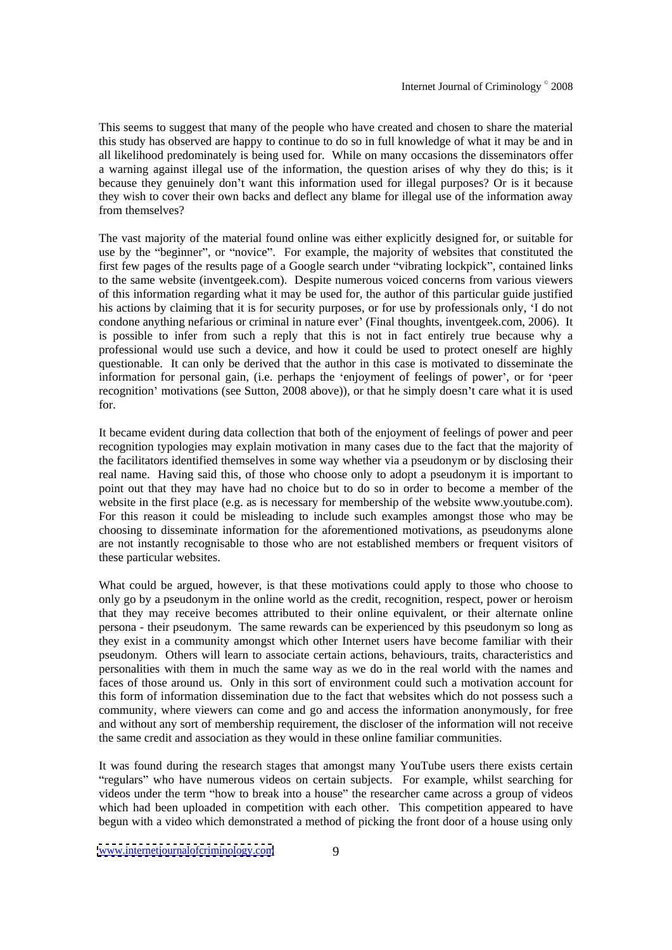This seems to suggest that many of the people who have created and chosen to share the material this study has observed are happy to continue to do so in full knowledge of what it may be and in all likelihood predominately is being used for. While on many occasions the disseminators offer a warning against illegal use of the information, the question arises of why they do this; is it because they genuinely don't want this information used for illegal purposes? Or is it because they wish to cover their own backs and deflect any blame forillegal use of the information away from themselves?

The vast majority of the material found online was either explicitly designed for, or suitable for use by the "beginner", or "novice". For example, the majority of websites that constituted the first few pages of the results page of a Google search under "vibrating lockpick", contained links to the same website (inventgeek.com). Despite numerous voiced concerns from various viewers of this information regarding what it may be used for, the author of this particular guide justified his actions by claiming that it is for security purposes, or for use by professionals only, 'I do not condone anything nefarious or criminal in nature ever (Final thoughts, inventgeek.com, 2006). It is possible to infer from such a reply that this is not in fact entirely true because why a professional would use such a device, and how it could be used to protect oneself are highly questionable. It can only be derived that the author in this case is motivated to disseminate the information for personal gain, (i.e. perhaps the 'enjoyment of feelings of power', or for 'peer recognition' motivations (see Sutton, 2008 above)), or that he simply doesn't care what it is used for.

It became evident during data collection that both of the enjoyment of feelings of power and peer recognition typologies may explain motivation in many cases due to the fact that the majority of the facilitators identified themselves in some way whether via a pseudonym or by disclosing their real name. Having said this, of those who choose only to adopt a pseudonym it is important to point out that they may have had no choice but to do so in order to become a member of the website in the first place (e.g. as is necessary for membership of the website www.youtube.com). For this reason it could be misleading to include such examples amongst those who may be choosing to disseminate information for the aforementioned motivations, as pseudonyms alone are not instantly recognisable to those who are not established members or frequent visitors of these particular websites.

What could be argued, however, is that these motivations could apply to those who choose to only go by a pseudonym in the online world as the credit, recognition, respect, power or heroism that they may receive becomes attributed to their online equivalent, or their alternate online persona - their pseudonym. The same rewards can be experienced by this pseudonym so long as they exist in a community amongst which other Internet users have become familiar with their pseudonym. Others will learn to associate certain actions, behaviours, traits, characteristics and personalities with them in much the same way as we do in the real world with the names and faces of those around us. Only in this sort of environment could such a motivation account for this form of information dissemination due to the fact that websites which do not possess such a community, where viewers can come and go and access the information anonymously, for free and without any sort of membership requirement, the discloser of the information will not receive the same credit and association as they would in these online familiar communities.

It was found during the research stages that amongst many YouTube users there exists certain regulars" who have numerous videos on certain subjects. For example, whilst searching for videos under the term "how to break into a house" the researcher came across a group of videos which had been uploaded in competition with each other. This competition appeared to have begun with a video which demonstrated a method of picking the front door of a house using only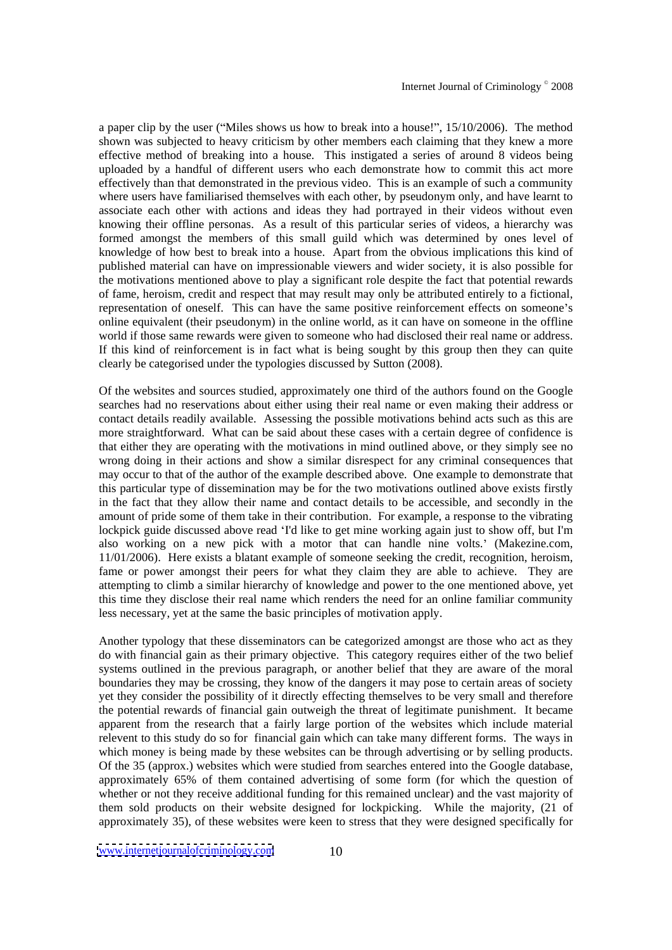a paper clip by the user ("Miles shows us how to break into a house!",  $15/10/2006$ ). The method shown was subjected to heavy criticism by other members each claiming that they knew a more effective method of breaking into a house. This instigated a series of around 8 videos being uploaded by a handful of different users who each demonstrate how to commit this act more effectively than that demonstrated in the previous video. This is an example of such a community where users have familiarised themselves with each other, by pseudonym only, and have learnt to associate each other with actions and ideas they had portrayed in their videos without even knowing their offline personas. As a result of this particular series of videos, a hierarchy was formed amongst the members of this small guild which was determined by ones level of knowledge of how best to break into a house. Apart from the obvious implications thiskind of published material can have on impressionable viewers and wider society, it is also possible for the motivations mentioned above to play a significant role despite the fact that potential rewards of fame, heroism, credit and respect that may result may only be attributed entirely to a fictional, representation of oneself. This can have the same positive reinforcement effects on someone's online equivalent (their pseudonym) in the online world, as it can have on someone in the offline world if those same rewards were given to someone who had disclosed their real name or address. If this kind of reinforcement is in fact what is being sought by this group then they can quite clearly be categorised under the typologies discussed by Sutton (2008).

Of the websites and sources studied, approximately one third of the authors found on the Google searches had no reservations about either using their real name or even making their address or contact details readily available. Assessing the possible motivations behind acts such as this are more straightforward. What can be said about these cases with a certain degree of confidence is that either they are operating with the motivations in mind outlined above, or they simply seeno wrong doing in their actions and show a similar disrespect for any criminal consequences that may occur to that of the author of the example described above. One example to demonstrate that this particular type of dissemination may be for the two motivations outlined above exists firstly in the fact that they allow their name and contact details to be accessible, and secondly in the amount of pride some of them take in their contribution. For example, a response to the vibrating lockpick guide discussed above read 'I'd like to get mine working again just to show off, but I'm also working on a new pick with a motor that can handle nine volts.' (Makezine.com, 11/01/2006). Here exists a blatant example of someone seeking the credit, recognition, heroism, fame or power amongst their peers for what they claim they are able to achieve. They are attempting to climb a similar hierarchy of knowledge and power to the one mentioned above, yet this time they disclose their real name which renders the need for an online familiar community less necessary, yet at the same the basic principles of motivation apply.

Another typology that these disseminators can be categorized amongst are those who act as they do with financial gain as their primary objective. This category requires either of the two belief systems outlined in the previous paragraph, or another belief that they are aware of the moral boundaries they may be crossing, they know of the dangers it may pose to certain areas of society yet they consider the possibility of it directly effecting themselves to be very small and therefore the potential rewards of financial gain outweigh the threat of legitimate punishment. It became apparent from the research that a fairly large portion of the websites which include material relevent to this study do so for financial gain which can take many different forms. The ways in which money is being made by these websites can be through advertising or by selling products. Of the 35 (approx.) websites which were studied from searches entered into the Google database, approximately 65% of them contained advertising of some form (for which the question of whether or not they receive additional funding for this remained unclear) and the vast majority of them sold products on their website designed for lockpicking. While the majority, (21 of approximately 35), of these websites were keen to stress that they were designed specifically for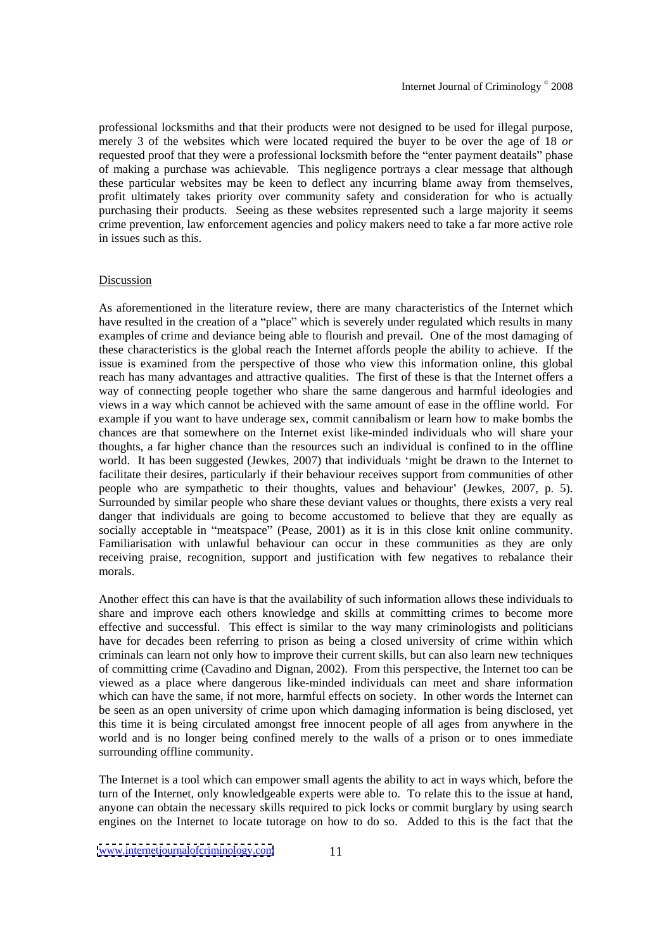professional locksmiths and that their products were not designed to be used for illegal purpose, merely 3 of the websites which were located required the buyer to be over the age of 18 or requested proof that they were a professional locksmith before the "enter payment deatails" phase of making a purchase was achievable. This negligence portrays a clear message that although these particular websites may be keen to deflect any incurring blame away from themselves, profit ultimately takes priority over community safety and consideration for who is actually purchasing their products. Seeing as these websites represented such a large majority it seems crime prevention, law enforcement agencies and policy makers need to take a far more active role in issues such as this.

#### **Discussion**

As aforementioned in the literature review, there are many characteristics of the Internet which have resulted in the creation of a "place" which is severely under regulated which results in many examples of crime and deviance being able to flourish and prevail. Oneof the most damaging of these characteristics is the global reach the Internet affords people the ability to achieve. If the issue is examined from the perspective of those who view this information online, this global reach has many advantages and attractive qualities. The first of these is that the Internet offers a way of connecting people together who share the same dangerous and harmful ideologies and views in a way which cannot be achieved with the same amount of ease in the offline world. For example if you want to have underage sex, commit cannibalism or learn how to make bombs the chances are that somewhere on the Internet exist like-minded individuals who will share your thoughts, a far higher chance than the resources such an individual is confined to in the offline world. It has been suggested (Jewkes, 2007) that individuals 'might be drawn to the Internet to facilitate their desires, particularly if their behaviour receives support from communities of other people who are sympathetic to their thoughts, values and behaviour (Jewkes, 2007, p. 5). Surrounded by similar people who share these deviant values or thoughts, there exists a very real danger that individuals are going to become accustomed to believe that they are equally as socially acceptable in "meatspace" (Pease, 2001) as it is in this close knit online community. Familiarisation with unlawful behaviour can occur in these communities as they are only receiving praise, recognition, support and justification with few negatives to rebalance their morals.

Another effect this can have is that the availability of such information allows these individuals to share and improve each others knowledge and skills at committing crimes to become more effective and successful. This effect is similar to the way many criminologists and politicians have for decades been referring to prison as being a closed university of crime within which criminals can learn not only how to improve their current skills, but can also learn new techniques of committing crime (Cavadino and Dignan, 2002). From this perspective, the Internet too can be viewed as a place where dangerous like-minded individuals can meet and share information which can have the same, if not more, harmful effects on society. In other words the Internet can be seen as an open university of crime upon which damaging information is being disclosed, yet this time it is being circulated amongst free innocent people of all ages from anywhere in the world and is no longer being confined merely to the walls of a prison or to ones immediate surrounding offline community.

The Internet is a tool which can empower small agents the ability to act in ways which, before the turn of the Internet, only knowledgeable experts were able to. To relate this to the issue at hand, anyone can obtain the necessary skills required to pick locks or commit burglary by using search engines on the Internet to locate tutorage on how to do so. Added to this is the fact that the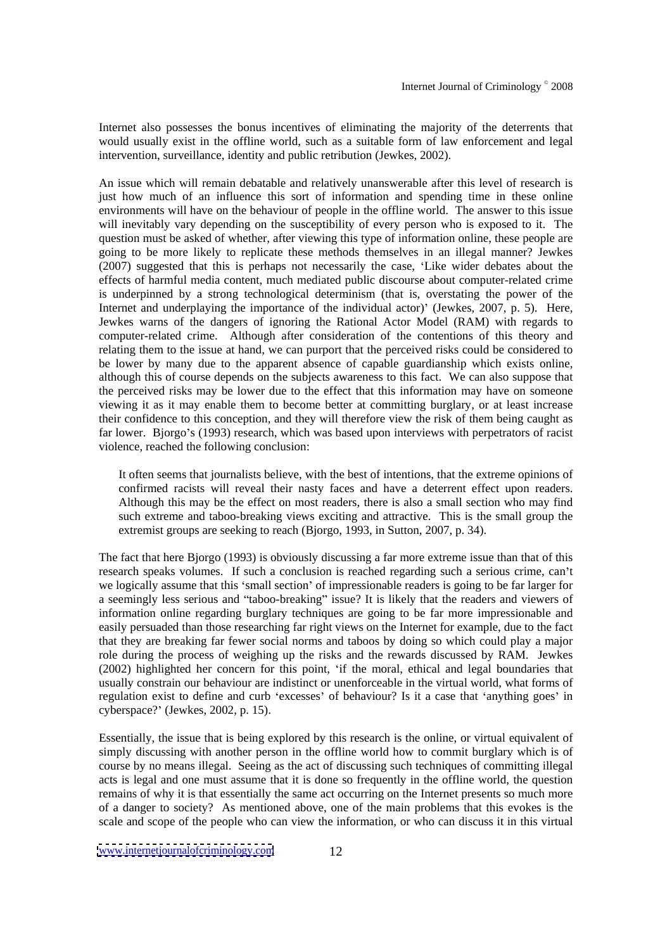Internet also possesses the bonus incentives of eliminating the majority of the deterrents that would usually exist in the offline world, such as a suitable form of law enforcement and legal intervention, surveillance, identity and public retribution (Jewkes, 2002).

An issue which will remain debatable and relatively unanswerable after this level of research is just how much of an influence this sort of information and spending time in these online environments will have on the behaviour of people in the offline world. The answer to this issue will inevitably vary depending on the susceptibility of every person who is exposed to it. The question must be asked of whether, after viewing this type of information online, these people are going to be more likely to replicate these methods themselves in an illegal manner? Jewkes (2007) suggested that this is perhaps not necessarily the case, Like wider debates about the effects of harmful media content, much mediated public discourse about computer-related crime is underpinned by a strong technological determinism (that is, overstating the power of the Internet and underplaying the importance of the individual actor) (Jewkes, 2007, p. 5). Here, Jewkes warns of the dangers of ignoring the Rational Actor Model (RAM) with regards to computer-related crime. Although after consideration of the contentions of this theory and relating them to the issue at hand, we can purport that the perceived risks could be considered to be lower by many due to the apparent absence of capable guardianship which exists online, although this of course depends on the subjects awareness to this fact. We can also suppose that the perceived risks may be lower due to the effect that this information may have on someone viewing it as it may enable them to become better at committing burglary, or at least increase their confidence to this conception, and they will therefore view the risk of them being caught as far lower. Bjorgo's (1993) research, which was based upon interviews with perpetrators of racist violence, reached the following conclusion:

It often seems that journalists believe, with the best of intentions, that the extreme opinions of confirmed racists will reveal their nasty faces and have a deterrent effect upon readers. Although this may be the effect on most readers, there is also a small section who may find such extreme and taboo-breaking views exciting and attractive. This is the small group the extremist groups are seeking to reach (Bjorgo, 1993, in Sutton, 2007, p. 34).

The fact that here Bjorgo (1993) is obviously discussing a far more extreme issue than that of this research speaks volumes. If such a conclusion is reached regarding such a serious crime, can't we logically assume that this 'small section' of impressionable readers is going to be far larger for a seemingly less serious and "taboo-breaking" issue? It is likely that the readers and viewers of information online regarding burglary techniques are going to be far more impressionable and easily persuaded than those researching far right views on the Internet for example, due to the fact that they are breaking far fewer social norms and taboos by doing so which could play a major role during the process of weighing up the risks and the rewards discussed by RAM. Jewkes (2002) highlighted her concern for this point, 'if the moral, ethical and legal boundaries that usually constrain our behaviour are indistinct or unenforceable in the virtual world, what forms of regulation exist to define and curb 'excesses' of behaviour? Is it a case that 'anything goes' in cyberspace? (Jewkes, 2002, p. 15).

Essentially, the issue that is being explored by this research is the online, or virtual equivalent of simply discussing with another person in the offline world how to commit burglary which is of course by no means illegal. Seeing as the act of discussing such techniques of committing illegal acts is legal and one must assume that it is done so frequently in the offline world, the question remains of why it is that essentially the same act occurring on the Internet presents so much more of a danger to society? As mentioned above, one of the main problems that this evokes is the scale and scope of the people who can view the information, or who can discuss itin this virtual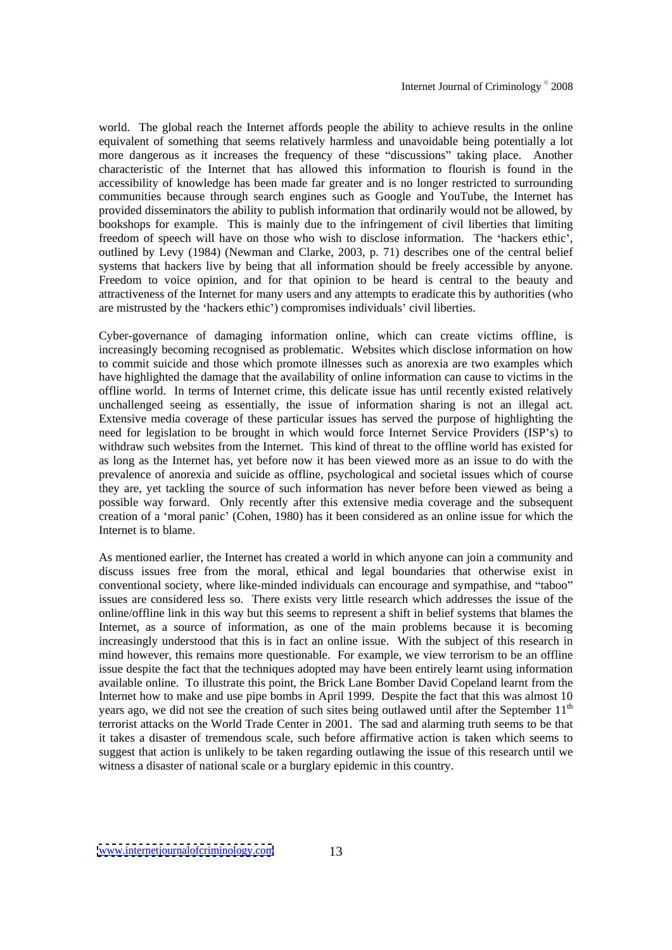world. The global reach the Internet affords people the ability to achieve results in the online equivalent of something that seems relatively harmless and unavoidable being potentially a lot more dangerous as it increases the frequency of these "discussions" taking place. Another characteristic of the Internet that has allowed this information to flourish is found in the accessibility of knowledge has been made far greater and is no longer restricted to surrounding communities because through search engines such as Google and YouTube, the Internet has provided disseminators the ability to publish information that ordinarily would not be allowed, by bookshops for example. This is mainly due to the infringement of civil liberties that limiting freedom of speech will have on those who wish to disclose information. The 'hackers ethic', outlined by Levy (1984) (Newman and Clarke, 2003, p. 71) describes one of the central belief systems that hackers live by being that all information should be freely accessible by anyone. Freedom to voice opinion, and for that opinion to be heard is central to the beauty and attractiveness of the Internet for many users and any attempts to eradicate this by authorities (who are mistrusted by the 'hackers ethic') compromises individuals' civil liberties.

Cyber-governance of damaging information online, which can create victims offline, is increasingly becoming recognised as problematic. Websites which disclose information on how to commit suicide and those which promote illnesses such as anorexia are two examples which have highlighted the damage that the availability of online information can cause to victims in the offline world. In terms of Internet crime, this delicate issue has until recently existed relatively unchallenged seeing as essentially, the issue of information sharing is not an illegal act. Extensive media coverage of these particular issues has served the purpose of highlighting the need for legislation to be brought in which would force Internet Service Providers (ISP's) to withdraw such websites from the Internet. This kind of threat to the offline world has existed for as long as the Internet has, yet before now it has been viewed more as an issue to do with the prevalence of anorexia and suicide as offline, psychological and societal issues which of course they are, yet tackling the source of such information has never before been viewed as being a possible way forward. Only recently after this extensive media coverage and the subsequent creation of a 'moral panic' (Cohen, 1980) has it been considered as an online issue for which the Internet is to blame.

As mentioned earlier, the Internet has created a world in which anyone can join a community and discuss issues free from the moral, ethical and legal boundaries that otherwise exist in conventional society, where like-minded individuals can encourage and sympathise, and "taboo" issues are considered less so. There exists very little research which addresses the issue of the online/offline link in this way but this seems to represent a shift in belief systems that blames the Internet, as a source of information, as one of the main problems because it is becoming increasingly understood that this is in fact an online issue. With the subject of this research in mind however, this remains more questionable. For example, we view terrorism to be an offline issue despite the fact that the techniques adopted may have been entirely learnt using information available online. To illustrate this point, the Brick Lane Bomber David Copeland learnt from the Internet how to make and use pipe bombs in April 1999. Despite the fact that this was almost 10 years ago, we did not see the creation of such sites being outlawed until after the September  $11<sup>th</sup>$ the contract of the contract of the contract of the contract of the contract of the contract of the contract of the contract of the contract of the contract of the contract of the contract of the contract of the contract o terrorist attacks on the World Trade Center in 2001. The sad and alarming truth seems to be that it takes a disaster of tremendous scale, such before affirmative action is taken which seems to suggest that action is unlikely to be taken regarding outlawing the issue of this research until we witness a disaster of national scale or a burglary epidemic in this country.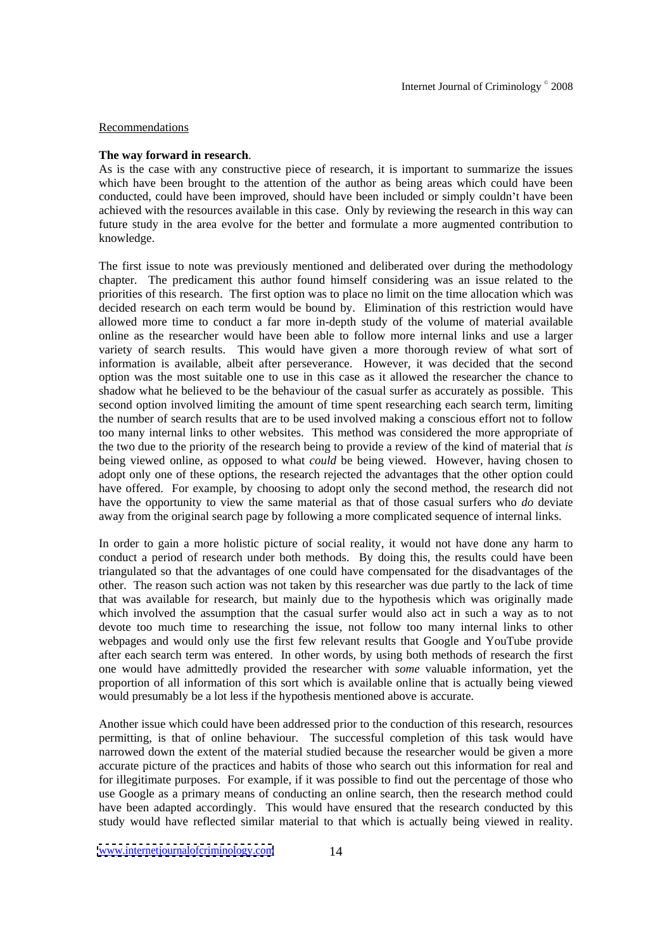## Recommendations **Recommendations**

# **The way forward in research**.

As is the case with any constructive piece of research, it is important to summarize the issues which have been brought to the attention of the author as being areas which could have been conducted, could have been improved, should have been included or simply couldn't have been achieved with the resources available in this case. Only by reviewing the research in this way can future study in the area evolve for the better and formulate a more augmented contribution to knowledge.

The first issue to note was previously mentioned and deliberated over during the methodology chapter. The predicament this author found himself considering was an issue related to the priorities of this research. The first option was to place no limit on the timeallocation which was decided research on each term would be bound by. Elimination of this restriction would have allowed more time to conduct a far more in-depth study of the volume of material available online as the researcher would have been able to follow more internal links and use a larger variety of search results. This would have given a more thorough review of what sort of information is available, albeit after perseverance. However, it was decided that the second option was the most suitable one to use in this case as it allowed the researcher the chance to shadow what he believed to be the behaviour of the casual surfer as accurately as possible. This second option involved limiting the amount of time spent researching each search term, limiting the number of search results that are to be used involved making a conscious effort not to follow too many internal links to other websites. This method was considered the more appropriate of the two due to the priority of the research being to provide a review ofthekind of material that *is* being viewed online, as opposed to what *could* be being viewed. However, having chosen to adopt only one of these options, the research rejected the advantages that the other option could have offered. For example, by choosing to adopt only the second method, the research did not have the opportunity to view the same material as that of those casual surfers who *do* deviate away from the original search page by following a more complicated sequence of internal links.

In order to gain a more holistic picture of social reality, it would not have done any harm to conduct a period of research under both methods. By doing this, the results could have been triangulated so that the advantages of one could have compensated for the disadvantages of the other. The reason such action was not taken by this researcher was due partly to the lack of time that was available for research, but mainly due to the hypothesis which was originally made which involved the assumption that the casual surfer would also act in such a way as to not devote too much time to researching the issue, not follow too many internal links to other webpages and would only use the first few relevant results that Google and YouTube provide after each search term was entered. In other words, by using both methods of research the first one would have admittedly provided the researcher with *some* valuable information, yet the proportion of all information of this sort which is available online that is actually being viewed would presumably be a lot less if the hypothesis mentioned above is accurate.

Another issue which could have been addressed prior to the conduction of this research, resources permitting, is that of online behaviour. The successful completion of this task would have narrowed down the extent of the material studied because the researcher would be given a more accurate picture of the practices and habits of those who search out this information for real and for illegitimate purposes. For example, if it was possible to find out the percentage of those who use Google as a primary means of conducting an online search, then the research method could have been adapted accordingly. This would have ensured that the research conducted by this study would have reflected similar material to that which is actually being viewed in reality.

[www.internetjournalofcriminology.com](http://www.internetjournalofcriminology.com) 14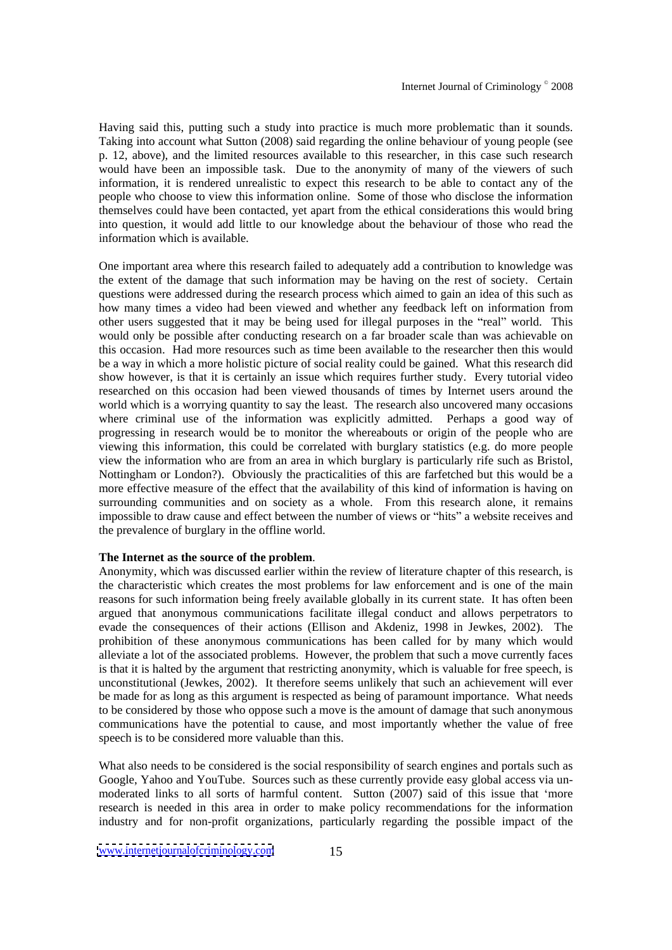Having said this, putting such a study into practice is much more problematic than it sounds. Taking into account what Sutton (2008) said regarding the online behaviour of young people (see p. 12, above), and the limited resources available to this researcher, in this case such research would have been an impossible task. Due to the anonymity of many of the viewers of such information, it is rendered unrealistic to expect this research to be able to contact any of the people who choose to view this information online. Some of those who disclose the information themselves could have been contacted, yet apart from the ethical considerations this would bring into question, it would add little to our knowledge about the behaviour of those who read the information which is available.

One important area where this research failed to adequately add acontribution to knowledge was the extent of the damage that such information may be having on the rest of society. Certain questions were addressed during the research process which aimed to gain an idea of this such as how many times a video had been viewed and whether any feedback left on information from other users suggested that it may be being used for illegal purposes in the "real" world. This would only be possible after conducting research on a far broader scale than was achievable on this occasion. Had more resources such as time been available to the researcher then this would be a way in which a more holistic picture of social reality could be gained. What this research did show however, is that it is certainly an issue which requires further study. Every tutorial video researched on this occasion had been viewed thousands of times by Internet users around the world which is a worrying quantity to say the least. The research also uncovered many occasions where criminal use of the information was explicitly admitted. Perhaps a good way of progressing in research would be to monitor the whereabouts or origin of the people who are viewing this information, this could be correlated with burglary statistics (e.g. do more people view the information who are from an area in which burglary is particularly rife such as Bristol, Nottingham or London?). Obviously the practicalities of this are farfetched but this would be a more effective measure of the effect that the availability of this kind of information is having on surrounding communities and on society as a whole. From this research alone, it remains impossible to draw cause and effect between the number of views or "hits" a website receives and the prevalence of burglary in the offline world.

## **The Internet as the source of the problem**.

Anonymity, which was discussed earlier within the review of literature chapter of this research, is the characteristic which creates the most problems for law enforcement and is one of the main reasons for such information being freely available globally in its current state. It has often been argued that anonymous communications facilitate illegal conduct and allows perpetrators to evade the consequences of their actions (Ellison and Akdeniz, 1998 in Jewkes, 2002). The prohibition of these anonymous communications has been called for by many which would alleviate a lot of the associated problems. However, the problem that such a move currently faces is that it is halted by the argument that restricting anonymity, which is valuable for free speech, is unconstitutional (Jewkes, 2002). It therefore seems unlikely that such an achievement will ever be made for as long as this argument is respected as being of paramount importance. What needs to be considered by those who oppose such a move is the amount of damage that such anonymous communications have the potential to cause, and most importantly whether the value of free speech is to be considered more valuable than this.

What also needs to be considered is the social responsibility of search engines and portals such as Google, Yahoo and YouTube. Sources such as these currently provide easy global access via unmoderated links to all sorts of harmful content. Sutton (2007) said of this issue that 'more research is needed in this area in order to make policy recommendations for the information industry and for non-profit organizations, particularly regarding the possible impact of the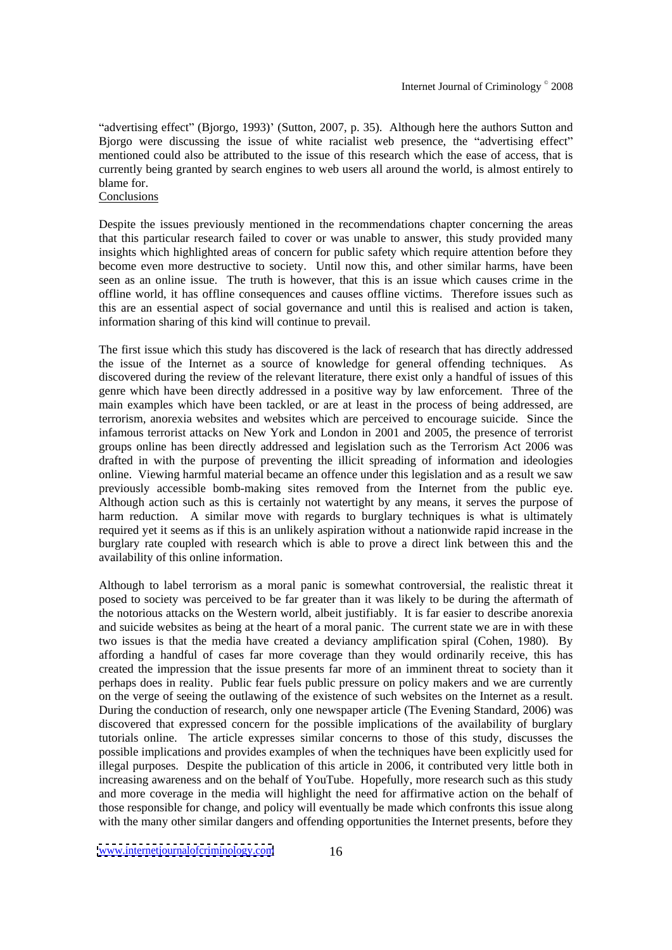"advertising effect" (Bjorgo, 1993)' (Sutton, 2007, p. 35). Although here the authors Sutton and Bjorgo were discussing the issue of white racialist web presence, the "advertising effect" mentioned could also be attributed to the issue of this research which the ease of access, that is currently being granted by search engines to web users all around the world, isalmost entirely to blame for.

#### **Conclusions**

Despite the issues previously mentioned in the recommendations chapter concerning the areas that this particular research failed to cover or was unable to answer, this study provided many insights which highlighted areas of concern for public safety which require attention before they become even more destructive to society. Until now this, and other similar harms, have been seen as an online issue. The truth is however, that this is an issue which causes crime in the offline world, it has offline consequences and causes offline victims. Therefore issues such as this are an essential aspect of social governance and until this is realised and action is taken, information sharing of this kind will continue to prevail.

The first issue which this study has discovered is the lack of research that has directly addressed the issue of the Internet as a source of knowledge for general offending techniques. As discovered during the review of the relevant literature, there exist only a handful of issues of this genre which have been directly addressed in a positive way by law enforcement. Three of the main examples which have been tackled, or are at least in the process of being addressed, are terrorism, anorexia websites and websites which are perceived to encourage suicide. Since the infamous terrorist attacks on New York and London in 2001 and 2005, the presence of terrorist groups online has been directly addressed and legislation such as the Terrorism Act 2006 was drafted in with the purpose of preventing the illicit spreading of information and ideologies online. Viewing harmful material became an offence under this legislation and as a result we saw previously accessible bomb-making sites removed from the Internet from the public eye. Although action such as this is certainly not watertight by any means, it serves the purpose of harm reduction. A similar move with regards to burglary techniques is what is ultimately required yet it seems as if this is an unlikely aspiration without a nationwide rapid increase in the burglary rate coupled with research which is able to prove a direct link between this and the availability of this online information.

Although to label terrorism as a moral panic is somewhat controversial, the realistic threat it posed to society was perceived to be far greater than it was likely to be during the aftermath of the notorious attacks on the Western world, albeit justifiably. It is far easier to describe anorexia and suicide websites as being at the heart of a moral panic. The current state we are in with these two issues is that the media have created a deviancy amplification spiral (Cohen, 1980). By affording a handful of cases far more coverage than they would ordinarily receive, this has created the impression that the issue presents far more of an imminent threat to society than it perhaps does in reality. Public fear fuels public pressure on policy makers and we are currently on the verge of seeing the outlawing of the existence of such websites on the Internet as a result. During the conduction of research, only one newspaper article (The Evening Standard, 2006) was discovered that expressed concern for the possible implications of the availability of burglary tutorials online. The article expresses similar concerns to those of this study, discusses the possible implications and provides examples of when the techniques have been explicitly used for illegal purposes. Despite the publication of this article in 2006, it contributed very little both in increasing awareness and on the behalf of YouTube. Hopefully, more research such as this study and more coverage in the media will highlight the need for affirmative action on the behalf of those responsible for change, and policy will eventually be made which confronts this issue along with the many other similar dangers and offending opportunities the Internet presents, before they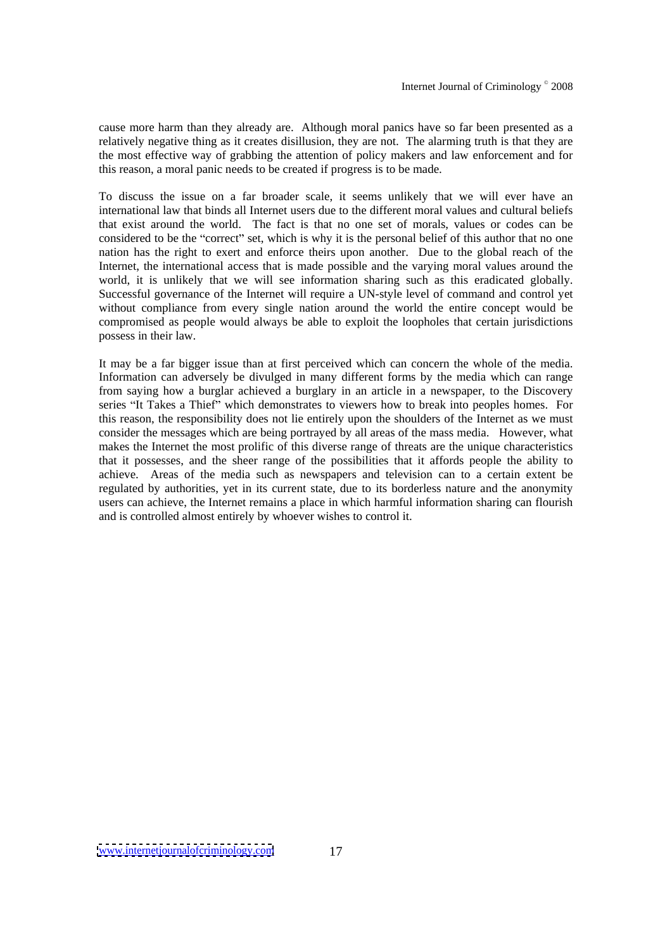cause more harm than they already are. Although moral panics have so far been presented as a relatively negative thing as it creates disillusion, they are not. The alarming truth is that they are the most effective way of grabbing the attention of policy makers and law enforcement and for this reason, a moral panic needs to be created if progress is to be made.

To discuss the issue on a far broader scale, it seems unlikely that we will ever have an international law that binds all Internet users due to the different moral values and cultural beliefs that exist around the world. The fact is that no one set of morals, values or codes can be considered to be the "correct" set, which is why it is the personal belief of this author that no one nation has the right to exert and enforce theirs upon another. Due to the global reach of the Internet, the international access that is made possible and the varying moral values around the world, it is unlikely that we will see information sharing such as this eradicated globally. Successful governance of the Internet will require a UN-style level of command and control yet without compliance from every single nation around the world the entire concept would be compromised as people would always be able to exploit the loopholes that certain jurisdictions possess in their law.

It may be a far bigger issue than at first perceived which can concern the whole of the media. Information can adversely be divulged in many different forms by the media which can range from saying how a burglar achieved a burglary in an article in a newspaper, to the Discovery series "It Takes a Thief" which demonstrates to viewers how to break into peoples homes. For this reason, the responsibility does not lie entirely upon the shoulders of the Internet as we must consider the messages which are being portrayed by all areas of the mass media. However, what makes the Internet the most prolific of this diverse range of threats are the unique characteristics that it possesses, and the sheer range of the possibilities that it affords people the ability to achieve. Areas of the media such as newspapers and television can to a certain extent be regulated by authorities, yet in its current state, due to its borderless nature and the anonymity users can achieve, the Internet remains a place in which harmful information sharing can flourish and is controlled almost entirely by whoever wishes to control it.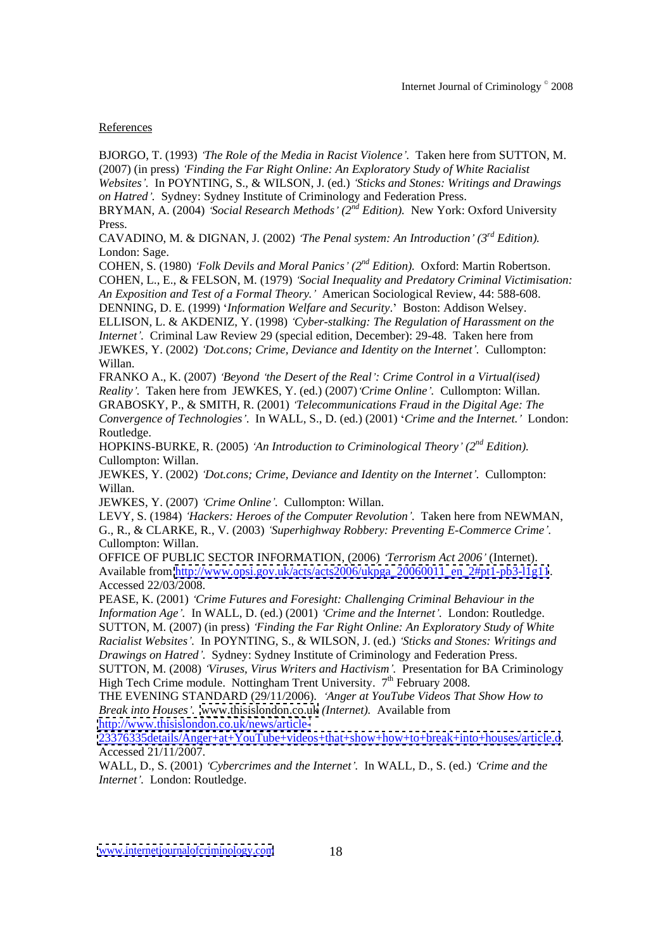# References

BJORGO, T. (1993) *The Role of the Media in Racist Violence .* Taken here from SUTTON, M. (2007) (in press) *Finding the Far Right Online: An Exploratory Study of White Racialist Websites .* In POYNTING, S., & WILSON, J. (ed.) *Sticks and Stones: Writings and Drawings on Hatred .* Sydney: Sydney Institute of Criminology and Federation Press.

BRYMAN, A. (2004) *Social Research Methods (2 nd Edition).* New York: Oxford University Press.

CAVADINO, M. & DIGNAN, J. (2002) *The Penal system: An Introduction (3 rd Edition).* London: Sage.

COHEN, S. (1980) *Folk Devils and Moral Panics (2 nd Edition).* Oxford: Martin Robertson. COHEN, L., E., & FELSON, M. (1979) *Social Inequality and Predatory Criminal Victimisation: An Exposition and Test of a Formal Theory.* American Sociological Review, 44: 588-608.

DENNING, D. E. (1999) *Information Welfare and Security*. Boston: Addison Welsey. ELLISON, L. & AKDENIZ, Y. (1998) *Cyber-stalking: The Regulation of Harassment on the Internet .* Criminal Law Review 29 (special edition, December): 29-48. Taken here from JEWKES, Y. (2002) *Dot.cons; Crime, Deviance and Identity on the Internet .* Cullompton: Willan. **When the contract of the contract of the contract of the contract of the contract of the contract of the contract of the contract of the contract of the contract of the contract of the contract of the contract of** 

FRANKO A., K. (2007) *Beyond the Desert of the Real : Crime Control in a Virtual(ised) Reality .* Taken here from JEWKES, Y. (ed.) (2007) *Crime Online .* Cullompton: Willan. GRABOSKY, P., & SMITH, R. (2001) *Telecommunications Fraud in the Digital Age: The Convergence of Technologies* . In WALL, S., D. (ed.) (2001) *Crime and the Internet.* London: Routledge.

HOPKINS-BURKE, R. (2005) *'An Introduction to Criminological Theory'* (2<sup>nd</sup> Edition). *nd Edition).* Cullompton: Willan.

JEWKES, Y. (2002) *Dot.cons; Crime, Deviance and Identity on the Internet .* Cullompton: Willan.

JEWKES, Y. (2007) *Crime Online .* Cullompton: Willan.

LEVY, S. (1984) *Hackers: Heroes of the Computer Revolution .* Taken here from NEWMAN, G., R., & CLARKE, R., V. (2003) *Superhighway Robbery: Preventing E-Commerce Crime .* Cullompton: Willan.

OFFICE OF PUBLIC SECTOR INFORMATION, (2006) *Terrorism Act 2006* (Internet). Available from [http://www.opsi.gov.uk/acts/acts2006/ukpga\\_20060011\\_en\\_2#pt1-pb3-l1g11](http://www.opsi.gov.uk/acts/acts2006/ukpga_20060011_en_2#pt1-pb3-l1g11). Accessed 22/03/2008.

PEASE, K. (2001) *Crime Futures and Foresight: Challenging Criminal Behaviour in the Information Age .* In WALL, D. (ed.) (2001) *Crime and the Internet .* London: Routledge. SUTTON, M. (2007) (in press) *Finding the Far Right Online: An Exploratory Study of White Racialist Websites .* In POYNTING, S., & WILSON, J. (ed.) *Sticks and Stones: Writings and*

*Drawings on Hatred .* Sydney: Sydney Institute of Criminology and Federation Press. SUTTON, M. (2008) *Viruses, Virus Writers and Hactivism .* Presentation for BA Criminology High Tech Crime module. Nottingham Trent University.  $7<sup>th</sup>$  February 2008.  $t<sup>th</sup>$  February 2008.

THE EVENING STANDARD (29/11/2006). *Anger at YouTube Videos That Show How to Break into Houses .* [www.thisislondon.co.uk](http://www.thisislondon.co.uk) *(Internet).* Available from

<http://www.thisislondon.co.uk/news/article->

<23376335details/Anger+at+YouTube+videos+that+show+how+to+break+into+houses/article.d>. Accessed 21/11/2007.

WALL, D., S. (2001) *Cybercrimes and the Internet .* In WALL, D., S. (ed.) *Crime and the Internet .* London: Routledge.